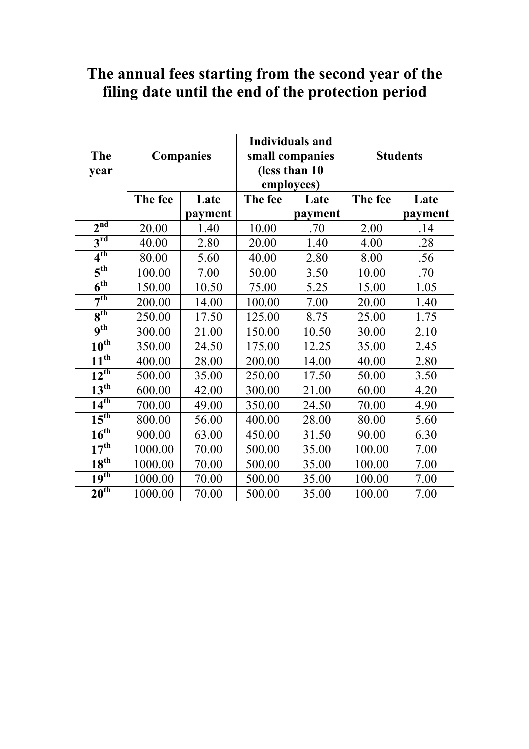| <b>The</b><br>year   | <b>Companies</b> |         | <b>Individuals and</b><br>small companies<br>(less than 10)<br>employees) |         | <b>Students</b> |         |
|----------------------|------------------|---------|---------------------------------------------------------------------------|---------|-----------------|---------|
|                      | The fee          | Late    | The fee                                                                   | Late    | The fee         | Late    |
|                      |                  | payment |                                                                           | payment |                 | payment |
| 2 <sup>nd</sup>      | 20.00            | 1.40    | 10.00                                                                     | .70     | 2.00            | .14     |
| $3^{\text{rd}}$      | 40.00            | 2.80    | 20.00                                                                     | 1.40    | 4.00            | .28     |
| 4 <sup>th</sup>      | 80.00            | 5.60    | 40.00                                                                     | 2.80    | 8.00            | .56     |
| 5 <sup>th</sup>      | 100.00           | 7.00    | 50.00                                                                     | 3.50    | 10.00           | .70     |
| 6 <sup>th</sup>      | 150.00           | 10.50   | 75.00                                                                     | 5.25    | 15.00           | 1.05    |
| 7 <sup>th</sup>      | 200.00           | 14.00   | 100.00                                                                    | 7.00    | 20.00           | 1.40    |
| 8 <sup>th</sup>      | 250.00           | 17.50   | 125.00                                                                    | 8.75    | 25.00           | 1.75    |
| $\overline{9^{th}}$  | 300.00           | 21.00   | 150.00                                                                    | 10.50   | 30.00           | 2.10    |
| $10^{th}$            | 350.00           | 24.50   | 175.00                                                                    | 12.25   | 35.00           | 2.45    |
| $11^{th}$            | 400.00           | 28.00   | 200.00                                                                    | 14.00   | 40.00           | 2.80    |
| $12^{th}$            | 500.00           | 35.00   | 250.00                                                                    | 17.50   | 50.00           | 3.50    |
| 13 <sup>th</sup>     | 600.00           | 42.00   | 300.00                                                                    | 21.00   | 60.00           | 4.20    |
| $\overline{14^{th}}$ | 700.00           | 49.00   | 350.00                                                                    | 24.50   | 70.00           | 4.90    |
| $15^{\text{th}}$     | 800.00           | 56.00   | 400.00                                                                    | 28.00   | 80.00           | 5.60    |
| 16 <sup>th</sup>     | 900.00           | 63.00   | 450.00                                                                    | 31.50   | 90.00           | 6.30    |
| $17^{th}$            | 1000.00          | 70.00   | 500.00                                                                    | 35.00   | 100.00          | 7.00    |
| $18^{th}$            | 1000.00          | 70.00   | 500.00                                                                    | 35.00   | 100.00          | 7.00    |
| $19^{th}$            | 1000.00          | 70.00   | 500.00                                                                    | 35.00   | 100.00          | 7.00    |
| 20 <sup>th</sup>     | 1000.00          | 70.00   | 500.00                                                                    | 35.00   | 100.00          | 7.00    |

## **The annual fees starting from the second year of the filing date until the end of the protection period**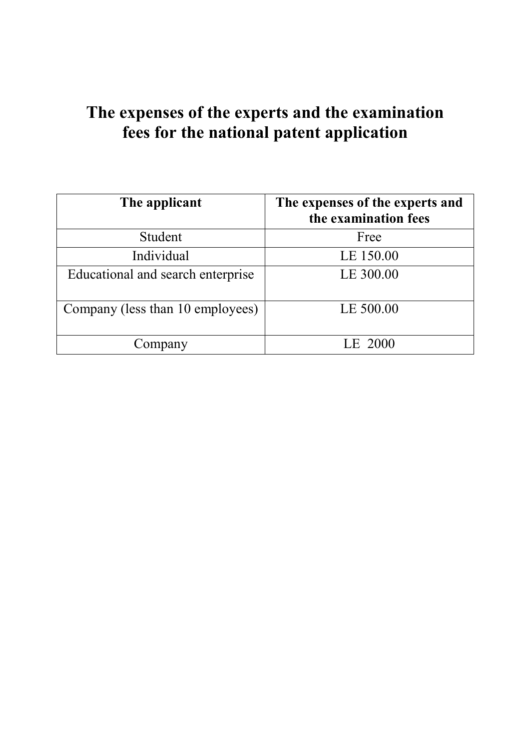## **The expenses of the experts and the examination fees for the national patent application**

| The applicant                     | The expenses of the experts and<br>the examination fees |
|-----------------------------------|---------------------------------------------------------|
| Student                           | Free                                                    |
| Individual                        | LE 150.00                                               |
| Educational and search enterprise | LE 300.00                                               |
| Company (less than 10 employees)  | LE 500.00                                               |
| Company                           | LE 2000                                                 |